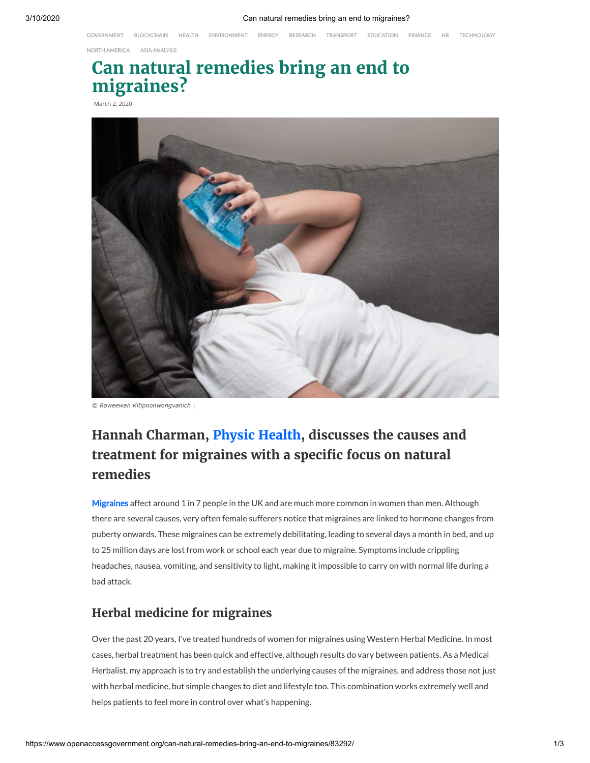[GOVERNMENT](https://www.openaccessgovernment.org/category/open-access-news/government-news/) [BLOCKCHAIN](https://www.openaccessgovernment.org/category/open-access-news/blockchain-news/) [HEALTH](https://www.openaccessgovernment.org/category/open-access-news/health-social-care-news/) [ENVIRONMENT](https://www.openaccessgovernment.org/category/open-access-news/environment-news/) [ENERGY](https://www.openaccessgovernment.org/category/open-access-news/energy-news/) [RESEARCH](https://www.openaccessgovernment.org/category/open-access-news/research-innovation-news/) [TRANSPORT](https://www.openaccessgovernment.org/category/open-access-news/transport-news/) [EDUCATION](https://www.openaccessgovernment.org/category/open-access-news/education-news/) [FINANCE](https://www.openaccessgovernment.org/category/open-access-news/finance-news/) [HR](https://www.openaccessgovernment.org/category/open-access-news/hr-training-news/) [TECHNOLOGY](https://www.openaccessgovernment.org/category/open-access-news/technology-news/)

NORTH [AMERICA](https://www.openaccessgovernment.org/tag/north-america-analysis/) ASIA [ANALYSIS](https://www.openaccessgovernment.org/category/ebooks/asia-analysis-ebooks/)

# **Can natural remedies bring an end to migraines?**

March 2, 2020



*© Raweewan Kitipoonwongvanich |*

## **Hannah Charman, Physic [Health,](http://www.physichealth.uk/) discusses the causes and treatment for migraines with a specific focus on natural remedies**

[Migraines](https://www.openaccessgovernment.org/acupuncture-treatment-migraines/51651/) affect around 1 in 7 people in the UK and are much more common in women than men. Although there are several causes, very often female sufferers notice that migraines are linked to hormone changes from puberty onwards. These migraines can be extremely debilitating, leading to several days a month in bed, and up to 25 million days are lost from work or school each year due to migraine. Symptoms include crippling headaches, nausea, vomiting, and sensitivity to light, making it impossible to carry on with normal life during a bad attack.

## **Herbal medicine for migraines**

Over the past 20 years, I've treated hundreds of women for migraines using Western Herbal Medicine. In most cases, herbal treatment has been quick and effective, although results do vary between patients. As a Medical Herbalist, my approach is to try and establish the underlying causes of the migraines, and address those not just with herbal medicine, but simple changes to diet and lifestyle too. This combination works extremely well and helps patients to feel more in control over what's happening.